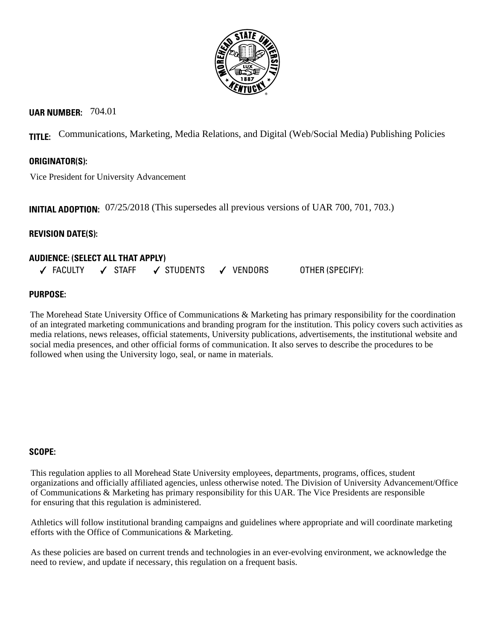

# **UAR NUMBER:** 704.01

**TITLE:** Communications, Marketing, Media Relations, and Digital (Web/Social Media) Publishing Policies

# **ORIGINATOR(S):**

Vice President for University Advancement

**INITIAL ADOPTION:** 07/25/2018 (This supersedes all previous versions of UAR 700, 701, 703.)

# **REVISION DATE(S):**

# **AUDIENCE: (SELECT ALL THAT APPLY)**   $\checkmark$  faculty  $\checkmark$  staff  $\checkmark$  students  $\checkmark$  vendors other (specify):

# **PURPOSE:**

The Morehead State University Office of Communications & Marketing has primary responsibility for the coordination of an integrated marketing communications and branding program for the institution. This policy covers such activities as media relations, news releases, official statements, University publications, advertisements, the institutional website and social media presences, and other official forms of communication. It also serves to describe the procedures to be followed when using the University logo, seal, or name in materials.

### **SCOPE:**

This regulation applies to all Morehead State University employees, departments, programs, offices, student organizations and officially affiliated agencies, unless otherwise noted. The Division of University Advancement/Office of Communications & Marketing has primary responsibility for this UAR. The Vice Presidents are responsible for ensuring that this regulation is administered.

Athletics will follow institutional branding campaigns and guidelines where appropriate and will coordinate marketing efforts with the Office of Communications & Marketing.

As these policies are based on current trends and technologies in an ever-evolving environment, we acknowledge the need to review, and update if necessary, this regulation on a frequent basis.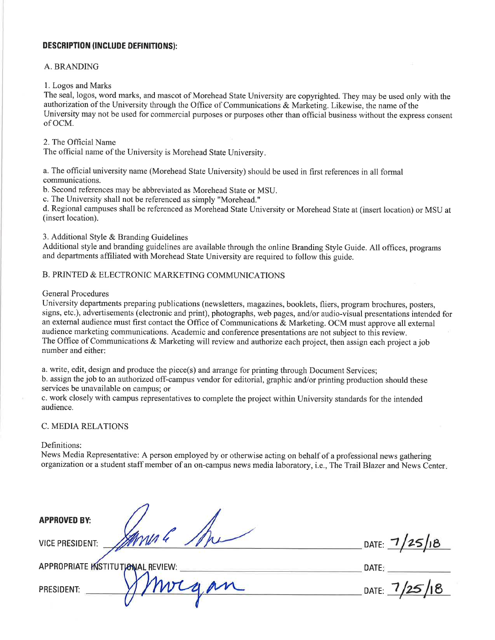#### **DESCRIPTION (INCLUDE DEFINITIONS):**

#### A. BRANDING

#### 1. Logos and Marks

The seal, logos, word marks, and mascot of Morehead State University are copyrighted. They may be used only with the authorization of the University through the Office of Communications & Marketing. Likewise, the name of the University may not be used for commercial purposes or purposes other than official business without the express consent of OCM.

#### 2. The Official Name

The official name of the University is Morehead State University.

a. The official university name (Morehead State University) should be used in first references in all formal communications.

b. Second references may be abbreviated as Morehead State or MSU.

c. The University shall not be referenced as simply "Morehead."

d. Regional campuses shall be referenced as Morehead State University or Morehead State at (insert location) or MSU at (insert location).

3. Additional Style & Branding Guidelines

Additional style and branding guidelines are available through the online Branding Style Guide. All offices, programs and departments affiliated with Morehead State University are required to follow this guide.

# B. PRINTED & ELECTRONIC MARKETING COMMUNICATIONS

### **General Procedures**

University departments preparing publications (newsletters, magazines, booklets, fliers, program brochures, posters, signs, etc.), advertisements (electronic and print), photographs, web pages, and/or audio-visual presentations intended for an external audience must first contact the Office of Communications & Marketing. OCM must approve all external audience marketing communications. Academic and conference presentations are not subject to this review. The Office of Communications & Marketing will review and authorize each project, then assign each project a job number and either:

a. write, edit, design and produce the piece(s) and arrange for printing through Document Services;

b. assign the job to an authorized off-campus vendor for editorial, graphic and/or printing production should these services be unavailable on campus; or

c. work closely with campus representatives to complete the project within University standards for the intended audience.

#### **C. MEDIA RELATIONS**

APPROPRIATE INSTITUTIONAL REVIEW:

#### Definitions:

News Media Representative: A person employed by or otherwise acting on behalf of a professional news gathering organization or a student staff member of an on-campus news media laboratory, i.e., The Trail Blazer and News Center.

**APPROVED BY:** 

PRESIDENT:

**VICE PRESIDENT:** 

DATE:  $1/25/18$ 

DATE:

DATE:  $7/25/18$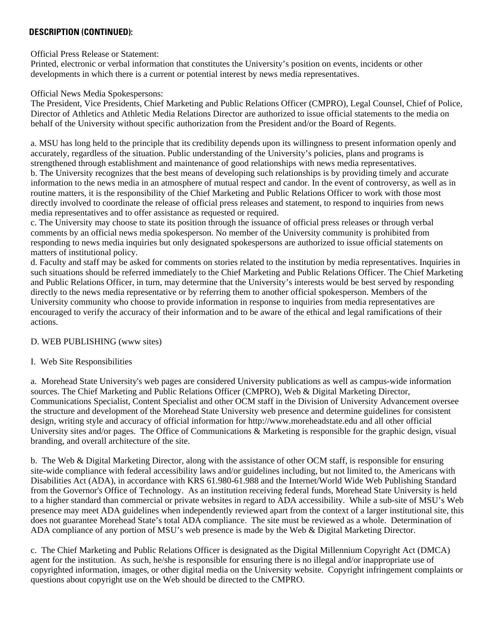## **DESCRIPTION (CONTINUED):**

Official Press Release or Statement:

Printed, electronic or verbal information that constitutes the University's position on events, incidents or other developments in which there is a current or potential interest by news media representatives.

### Official News Media Spokespersons:

The President, Vice Presidents, Chief Marketing and Public Relations Officer (CMPRO), Legal Counsel, Chief of Police, Director of Athletics and Athletic Media Relations Director are authorized to issue official statements to the media on behalf of the University without specific authorization from the President and/or the Board of Regents.

a. MSU has long held to the principle that its credibility depends upon its willingness to present information openly and accurately, regardless of the situation. Public understanding of the University's policies, plans and programs is strengthened through establishment and maintenance of good relationships with news media representatives. b. The University recognizes that the best means of developing such relationships is by providing timely and accurate information to the news media in an atmosphere of mutual respect and candor. In the event of controversy, as well as in routine matters, it is the responsibility of the Chief Marketing and Public Relations Officer to work with those most directly involved to coordinate the release of official press releases and statement, to respond to inquiries from news media representatives and to offer assistance as requested or required.

c. The University may choose to state its position through the issuance of official press releases or through verbal comments by an official news media spokesperson. No member of the University community is prohibited from responding to news media inquiries but only designated spokespersons are authorized to issue official statements on matters of institutional policy.

d. Faculty and staff may be asked for comments on stories related to the institution by media representatives. Inquiries in such situations should be referred immediately to the Chief Marketing and Public Relations Officer. The Chief Marketing and Public Relations Officer, in turn, may determine that the University's interests would be best served by responding directly to the news media representative or by referring them to another official spokesperson. Members of the University community who choose to provide information in response to inquiries from media representatives are encouraged to verify the accuracy of their information and to be aware of the ethical and legal ramifications of their actions.

# D. WEB PUBLISHING (www sites)

# I. Web Site Responsibilities

a. Morehead State University's web pages are considered University publications as well as campus-wide information sources. The Chief Marketing and Public Relations Officer (CMPRO), Web & Digital Marketing Director, Communications Specialist, Content Specialist and other OCM staff in the Division of University Advancement oversee the structure and development of the Morehead State University web presence and determine guidelines for consistent design, writing style and accuracy of official information for http://www.moreheadstate.edu and all other official University sites and/or pages. The Office of Communications & Marketing is responsible for the graphic design, visual branding, and overall architecture of the site.

b. The Web & Digital Marketing Director, along with the assistance of other OCM staff, is responsible for ensuring site-wide compliance with federal accessibility laws and/or guidelines including, but not limited to, the Americans with Disabilities Act (ADA), in accordance with KRS 61.980-61.988 and the Internet/World Wide Web Publishing Standard from the Governor's Office of Technology. As an institution receiving federal funds, Morehead State University is held to a higher standard than commercial or private websites in regard to ADA accessibility. While a sub-site of MSU's Web presence may meet ADA guidelines when independently reviewed apart from the context of a larger institutional site, this does not guarantee Morehead State's total ADA compliance. The site must be reviewed as a whole. Determination of ADA compliance of any portion of MSU's web presence is made by the Web & Digital Marketing Director.

c. The Chief Marketing and Public Relations Officer is designated as the Digital Millennium Copyright Act (DMCA) agent for the institution. As such, he/she is responsible for ensuring there is no illegal and/or inappropriate use of copyrighted information, images, or other digital media on the University website. Copyright infringement complaints or questions about copyright use on the Web should be directed to the CMPRO.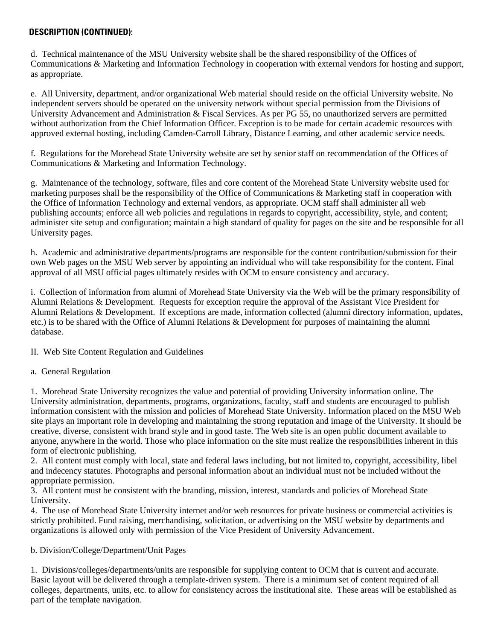### **DESCRIPTION (CONTINUED):**

d. Technical maintenance of the MSU University website shall be the shared responsibility of the Offices of Communications & Marketing and Information Technology in cooperation with external vendors for hosting and support, as appropriate.

e. All University, department, and/or organizational Web material should reside on the official University website. No independent servers should be operated on the university network without special permission from the Divisions of University Advancement and Administration & Fiscal Services. As per PG 55, no unauthorized servers are permitted without authorization from the Chief Information Officer. Exception is to be made for certain academic resources with approved external hosting, including Camden-Carroll Library, Distance Learning, and other academic service needs.

f. Regulations for the Morehead State University website are set by senior staff on recommendation of the Offices of Communications & Marketing and Information Technology.

g. Maintenance of the technology, software, files and core content of the Morehead State University website used for marketing purposes shall be the responsibility of the Office of Communications & Marketing staff in cooperation with the Office of Information Technology and external vendors, as appropriate. OCM staff shall administer all web publishing accounts; enforce all web policies and regulations in regards to copyright, accessibility, style, and content; administer site setup and configuration; maintain a high standard of quality for pages on the site and be responsible for all University pages.

h. Academic and administrative departments/programs are responsible for the content contribution/submission for their own Web pages on the MSU Web server by appointing an individual who will take responsibility for the content. Final approval of all MSU official pages ultimately resides with OCM to ensure consistency and accuracy.

i. Collection of information from alumni of Morehead State University via the Web will be the primary responsibility of Alumni Relations & Development. Requests for exception require the approval of the Assistant Vice President for Alumni Relations & Development. If exceptions are made, information collected (alumni directory information, updates, etc.) is to be shared with the Office of Alumni Relations & Development for purposes of maintaining the alumni database.

II. Web Site Content Regulation and Guidelines

### a. General Regulation

1. Morehead State University recognizes the value and potential of providing University information online. The University administration, departments, programs, organizations, faculty, staff and students are encouraged to publish information consistent with the mission and policies of Morehead State University. Information placed on the MSU Web site plays an important role in developing and maintaining the strong reputation and image of the University. It should be creative, diverse, consistent with brand style and in good taste. The Web site is an open public document available to anyone, anywhere in the world. Those who place information on the site must realize the responsibilities inherent in this form of electronic publishing.

2. All content must comply with local, state and federal laws including, but not limited to, copyright, accessibility, libel and indecency statutes. Photographs and personal information about an individual must not be included without the appropriate permission.

3. All content must be consistent with the branding, mission, interest, standards and policies of Morehead State University.

4. The use of Morehead State University internet and/or web resources for private business or commercial activities is strictly prohibited. Fund raising, merchandising, solicitation, or advertising on the MSU website by departments and organizations is allowed only with permission of the Vice President of University Advancement.

### b. Division/College/Department/Unit Pages

1. Divisions/colleges/departments/units are responsible for supplying content to OCM that is current and accurate. Basic layout will be delivered through a template-driven system. There is a minimum set of content required of all colleges, departments, units, etc. to allow for consistency across the institutional site. These areas will be established as part of the template navigation.